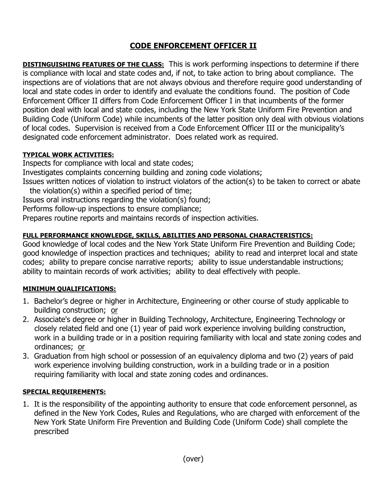# **CODE ENFORCEMENT OFFICER II**

**DISTINGUISHING FEATURES OF THE CLASS:** This is work performing inspections to determine if there is compliance with local and state codes and, if not, to take action to bring about compliance. The inspections are of violations that are not always obvious and therefore require good understanding of local and state codes in order to identify and evaluate the conditions found. The position of Code Enforcement Officer II differs from Code Enforcement Officer I in that incumbents of the former position deal with local and state codes, including the New York State Uniform Fire Prevention and Building Code (Uniform Code) while incumbents of the latter position only deal with obvious violations of local codes. Supervision is received from a Code Enforcement Officer III or the municipality's designated code enforcement administrator. Does related work as required.

## **TYPICAL WORK ACTIVITIES:**

Inspects for compliance with local and state codes;

Investigates complaints concerning building and zoning code violations;

Issues written notices of violation to instruct violators of the action(s) to be taken to correct or abate the violation(s) within a specified period of time;

Issues oral instructions regarding the violation(s) found;

Performs follow-up inspections to ensure compliance;

Prepares routine reports and maintains records of inspection activities.

## **FULL PERFORMANCE KNOWLEDGE, SKILLS, ABILITIES AND PERSONAL CHARACTERISTICS:**

Good knowledge of local codes and the New York State Uniform Fire Prevention and Building Code; good knowledge of inspection practices and techniques; ability to read and interpret local and state codes; ability to prepare concise narrative reports; ability to issue understandable instructions; ability to maintain records of work activities; ability to deal effectively with people.

### **MINIMUM QUALIFICATIONS:**

- 1. Bachelor's degree or higher in Architecture, Engineering or other course of study applicable to building construction; or
- 2. Associate's degree or higher in Building Technology, Architecture, Engineering Technology or closely related field and one (1) year of paid work experience involving building construction, work in a building trade or in a position requiring familiarity with local and state zoning codes and ordinances; or
- 3. Graduation from high school or possession of an equivalency diploma and two (2) years of paid work experience involving building construction, work in a building trade or in a position requiring familiarity with local and state zoning codes and ordinances.

### **SPECIAL REQUIREMENTS:**

1. It is the responsibility of the appointing authority to ensure that code enforcement personnel, as defined in the New York Codes, Rules and Regulations, who are charged with enforcement of the New York State Uniform Fire Prevention and Building Code (Uniform Code) shall complete the prescribed